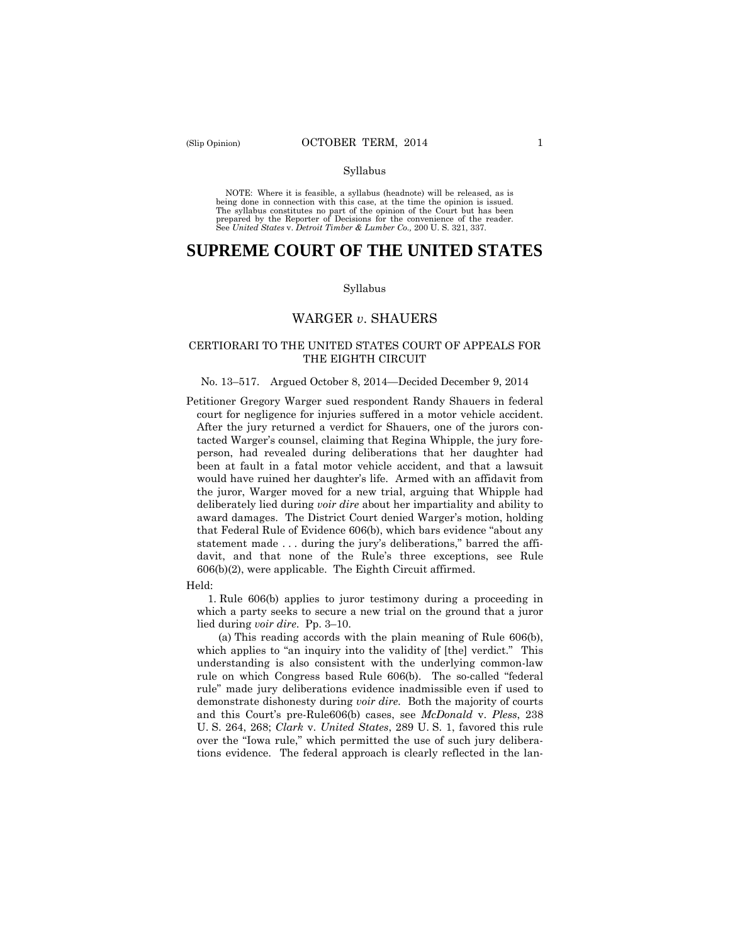#### Syllabus

 NOTE: Where it is feasible, a syllabus (headnote) will be released, as is being done in connection with this case, at the time the opinion is issued. The syllabus constitutes no part of the opinion of the Court but has been<br>prepared by the Reporter of Decisions for the convenience of the reader.<br>See United States v. Detroit Timber & Lumber Co., 200 U.S. 321, 337.

# **SUPREME COURT OF THE UNITED STATES**

#### Syllabus

### WARGER *v*. SHAUERS

#### CERTIORARI TO THE UNITED STATES COURT OF APPEALS FOR THE EIGHTH CIRCUIT

#### No. 13–517. Argued October 8, 2014—Decided December 9, 2014

Petitioner Gregory Warger sued respondent Randy Shauers in federal court for negligence for injuries suffered in a motor vehicle accident. After the jury returned a verdict for Shauers, one of the jurors contacted Warger's counsel, claiming that Regina Whipple, the jury foreperson, had revealed during deliberations that her daughter had been at fault in a fatal motor vehicle accident, and that a lawsuit would have ruined her daughter's life. Armed with an affidavit from the juror, Warger moved for a new trial, arguing that Whipple had deliberately lied during *voir dire* about her impartiality and ability to award damages. The District Court denied Warger's motion, holding that Federal Rule of Evidence 606(b), which bars evidence "about any statement made . . . during the jury's deliberations," barred the affidavit, and that none of the Rule's three exceptions, see Rule 606(b)(2), were applicable. The Eighth Circuit affirmed.

#### Held:

1. Rule 606(b) applies to juror testimony during a proceeding in which a party seeks to secure a new trial on the ground that a juror lied during *voir dire*. Pp. 3–10.

 demonstrate dishonesty during *voir dire.* Both the majority of courts (a) This reading accords with the plain meaning of Rule 606(b), which applies to "an inquiry into the validity of [the] verdict." This understanding is also consistent with the underlying common-law rule on which Congress based Rule 606(b). The so-called "federal rule" made jury deliberations evidence inadmissible even if used to and this Court's pre-Rule606(b) cases, see *McDonald* v. *Pless*, 238 U. S. 264, 268; *Clark* v. *United States*, 289 U. S. 1, favored this rule over the "Iowa rule," which permitted the use of such jury deliberations evidence. The federal approach is clearly reflected in the lan-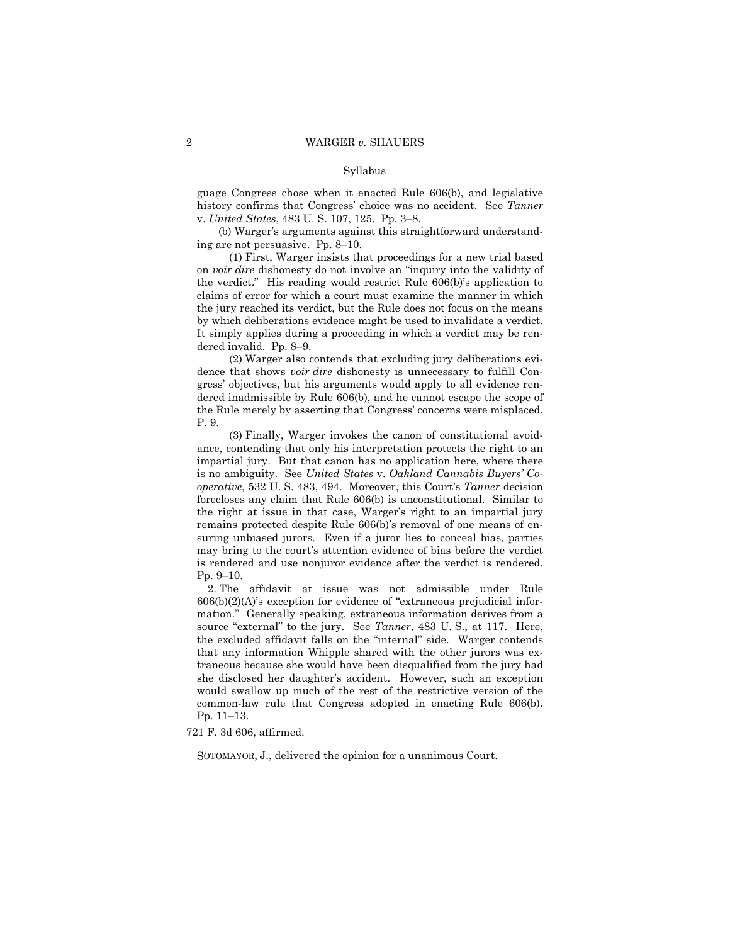#### Syllabus

guage Congress chose when it enacted Rule 606(b), and legislative history confirms that Congress' choice was no accident. See *Tanner*  v. *United States*, 483 U. S. 107, 125. Pp. 3–8.

(b) Warger's arguments against this straightforward understanding are not persuasive. Pp. 8–10.

 (1) First, Warger insists that proceedings for a new trial based on *voir dire* dishonesty do not involve an "inquiry into the validity of the verdict." His reading would restrict Rule 606(b)'s application to claims of error for which a court must examine the manner in which the jury reached its verdict, but the Rule does not focus on the means by which deliberations evidence might be used to invalidate a verdict. It simply applies during a proceeding in which a verdict may be rendered invalid. Pp. 8–9.

(2) Warger also contends that excluding jury deliberations evidence that shows *voir dire* dishonesty is unnecessary to fulfill Congress' objectives, but his arguments would apply to all evidence rendered inadmissible by Rule 606(b), and he cannot escape the scope of the Rule merely by asserting that Congress' concerns were misplaced. P. 9.

(3) Finally, Warger invokes the canon of constitutional avoidance, contending that only his interpretation protects the right to an impartial jury. But that canon has no application here, where there is no ambiguity. See *United States* v. *Oakland Cannabis Buyers' Cooperative*, 532 U. S. 483, 494. Moreover, this Court's *Tanner* decision forecloses any claim that Rule 606(b) is unconstitutional. Similar to the right at issue in that case, Warger's right to an impartial jury remains protected despite Rule 606(b)'s removal of one means of ensuring unbiased jurors. Even if a juror lies to conceal bias, parties may bring to the court's attention evidence of bias before the verdict is rendered and use nonjuror evidence after the verdict is rendered. Pp. 9–10.

2. The affidavit at issue was not admissible under Rule  $606(b)(2)(A)$ 's exception for evidence of "extraneous prejudicial information." Generally speaking, extraneous information derives from a source "external" to the jury. See *Tanner*, 483 U. S., at 117. Here, the excluded affidavit falls on the "internal" side. Warger contends that any information Whipple shared with the other jurors was extraneous because she would have been disqualified from the jury had she disclosed her daughter's accident. However, such an exception would swallow up much of the rest of the restrictive version of the common-law rule that Congress adopted in enacting Rule 606(b). Pp. 11–13.

721 F. 3d 606, affirmed.

SOTOMAYOR, J., delivered the opinion for a unanimous Court.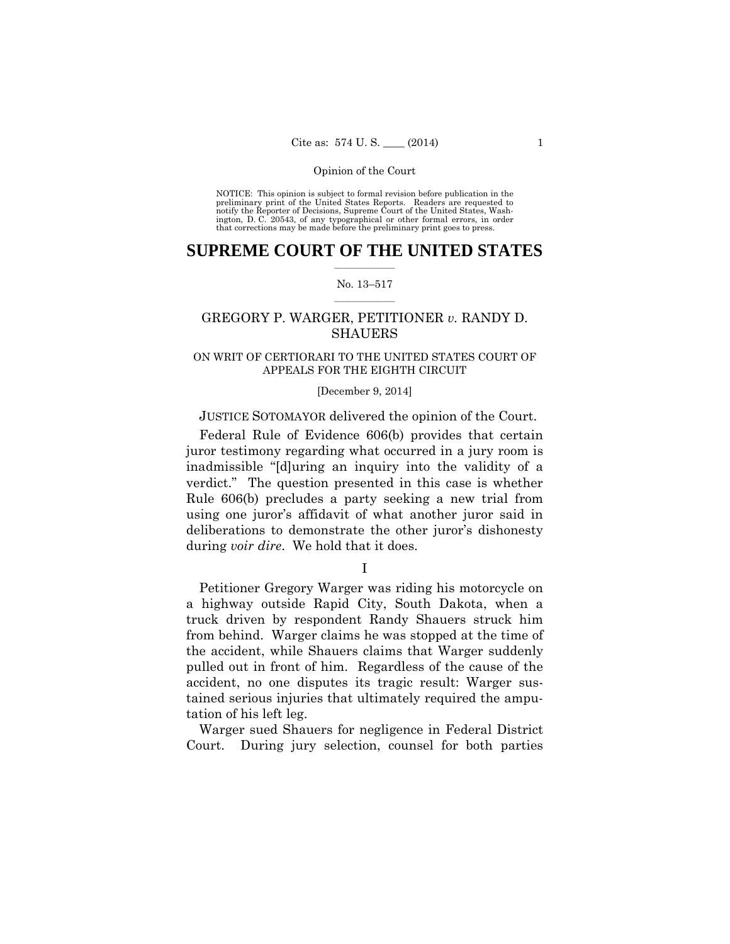preliminary print of the United States Reports. Readers are requested to notify the Reporter of Decisions, Supreme Court of the United States, Wash- ington, D. C. 20543, of any typographical or other formal errors, in order that corrections may be made before the preliminary print goes to press. NOTICE: This opinion is subject to formal revision before publication in the

### $\frac{1}{2}$  ,  $\frac{1}{2}$  ,  $\frac{1}{2}$  ,  $\frac{1}{2}$  ,  $\frac{1}{2}$  ,  $\frac{1}{2}$  ,  $\frac{1}{2}$ **SUPREME COURT OF THE UNITED STATES**

#### $\frac{1}{2}$  ,  $\frac{1}{2}$  ,  $\frac{1}{2}$  ,  $\frac{1}{2}$  ,  $\frac{1}{2}$  ,  $\frac{1}{2}$ No. 13–517

## GREGORY P. WARGER, PETITIONER *v.* RANDY D. SHAUERS

### ON WRIT OF CERTIORARI TO THE UNITED STATES COURT OF APPEALS FOR THE EIGHTH CIRCUIT

#### [December 9, 2014]

### JUSTICE SOTOMAYOR delivered the opinion of the Court.

 verdict." The question presented in this case is whether Federal Rule of Evidence 606(b) provides that certain juror testimony regarding what occurred in a jury room is inadmissible "[d]uring an inquiry into the validity of a Rule 606(b) precludes a party seeking a new trial from using one juror's affidavit of what another juror said in deliberations to demonstrate the other juror's dishonesty during *voir dire*. We hold that it does.

I

Petitioner Gregory Warger was riding his motorcycle on a highway outside Rapid City, South Dakota, when a truck driven by respondent Randy Shauers struck him from behind. Warger claims he was stopped at the time of the accident, while Shauers claims that Warger suddenly pulled out in front of him. Regardless of the cause of the accident, no one disputes its tragic result: Warger sustained serious injuries that ultimately required the amputation of his left leg.

Warger sued Shauers for negligence in Federal District Court. During jury selection, counsel for both parties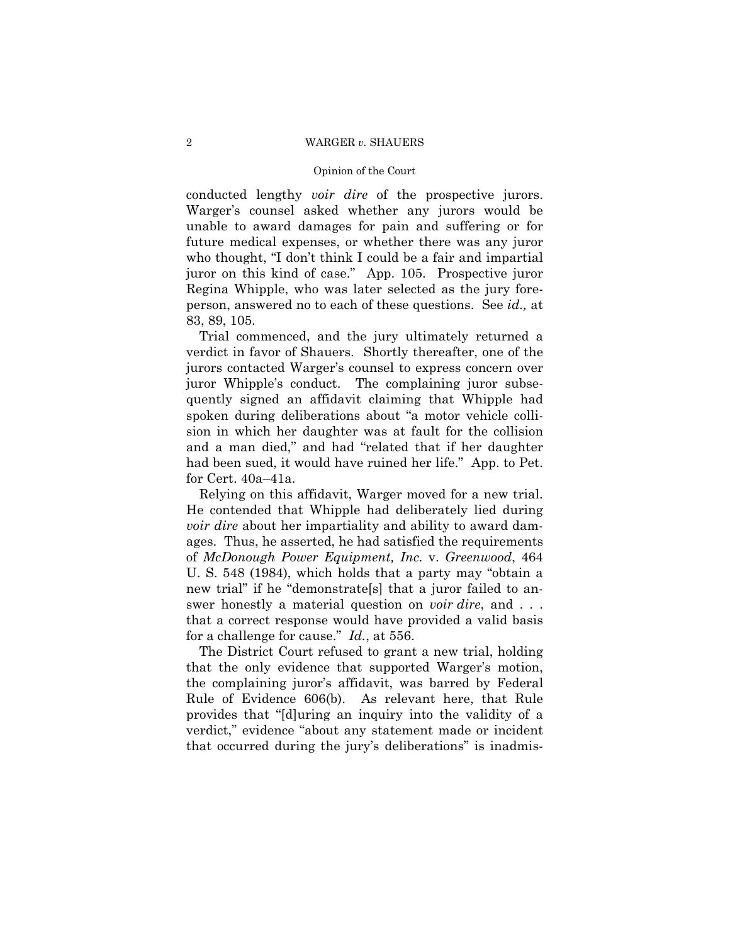#### Opinion of the Court

conducted lengthy *voir dire* of the prospective jurors. Warger's counsel asked whether any jurors would be unable to award damages for pain and suffering or for future medical expenses, or whether there was any juror who thought, "I don't think I could be a fair and impartial juror on this kind of case." App. 105. Prospective juror Regina Whipple, who was later selected as the jury foreperson, answered no to each of these questions. See *id.,* at 83, 89, 105.

Trial commenced, and the jury ultimately returned a verdict in favor of Shauers. Shortly thereafter, one of the jurors contacted Warger's counsel to express concern over juror Whipple's conduct. The complaining juror subsequently signed an affidavit claiming that Whipple had spoken during deliberations about "a motor vehicle collision in which her daughter was at fault for the collision and a man died," and had "related that if her daughter had been sued, it would have ruined her life." App. to Pet. for Cert. 40a–41a.

Relying on this affidavit, Warger moved for a new trial. He contended that Whipple had deliberately lied during *voir dire* about her impartiality and ability to award damages. Thus, he asserted, he had satisfied the requirements of *McDonough Power Equipment, Inc.* v. *Greenwood*, 464 U. S. 548 (1984), which holds that a party may "obtain a new trial" if he "demonstrate[s] that a juror failed to answer honestly a material question on *voir dire*, and . . . that a correct response would have provided a valid basis for a challenge for cause." *Id.*, at 556.

The District Court refused to grant a new trial, holding that the only evidence that supported Warger's motion, the complaining juror's affidavit, was barred by Federal Rule of Evidence 606(b). As relevant here, that Rule provides that "[d]uring an inquiry into the validity of a verdict," evidence "about any statement made or incident that occurred during the jury's deliberations" is inadmis-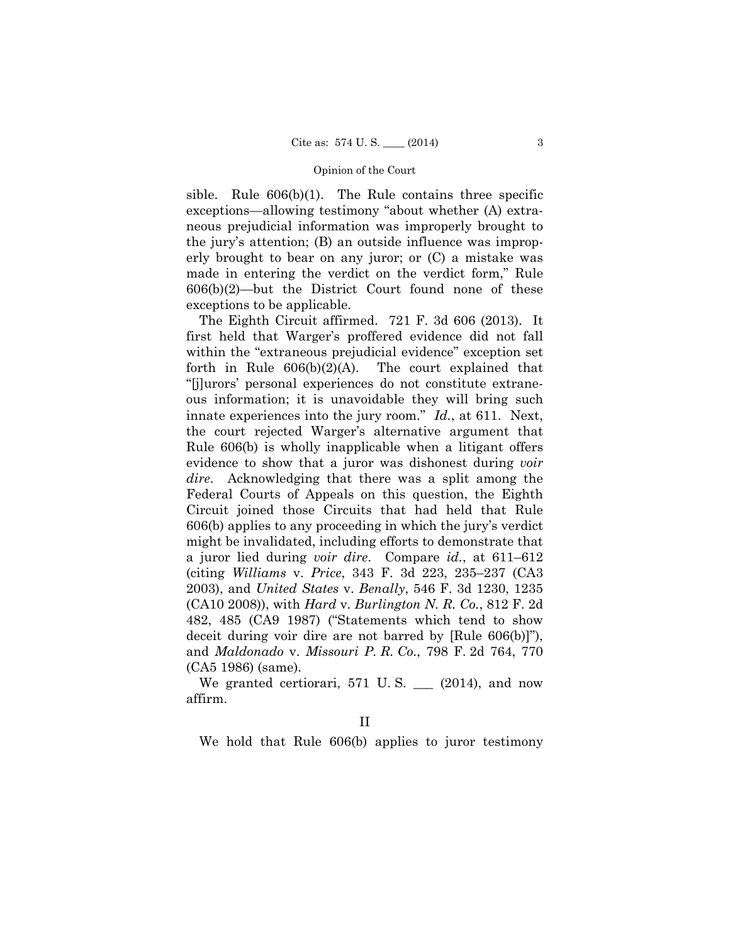sible. Rule  $606(b)(1)$ . The Rule contains three specific exceptions—allowing testimony "about whether (A) extraneous prejudicial information was improperly brought to the jury's attention; (B) an outside influence was improperly brought to bear on any juror; or (C) a mistake was made in entering the verdict on the verdict form," Rule  $606(b)(2)$ —but the District Court found none of these exceptions to be applicable.

The Eighth Circuit affirmed. 721 F. 3d 606 (2013). It first held that Warger's proffered evidence did not fall within the "extraneous prejudicial evidence" exception set forth in Rule  $606(b)(2)(A)$ . The court explained that "[j]urors' personal experiences do not constitute extraneous information; it is unavoidable they will bring such innate experiences into the jury room." *Id.*, at 611. Next, the court rejected Warger's alternative argument that Rule 606(b) is wholly inapplicable when a litigant offers evidence to show that a juror was dishonest during *voir dire*. Acknowledging that there was a split among the Federal Courts of Appeals on this question, the Eighth Circuit joined those Circuits that had held that Rule 606(b) applies to any proceeding in which the jury's verdict might be invalidated, including efforts to demonstrate that a juror lied during *voir dire*. Compare *id.*, at 611–612 (citing *Williams* v. *Price*, 343 F. 3d 223, 235–237 (CA3 2003), and *United States* v. *Benally*, 546 F. 3d 1230, 1235 (CA10 2008)), with *Hard* v. *Burlington N. R. Co.*, 812 F. 2d 482, 485 (CA9 1987) ("Statements which tend to show deceit during voir dire are not barred by [Rule 606(b)]"), and *Maldonado* v. *Missouri P. R. Co.*, 798 F. 2d 764, 770 (CA5 1986) (same).

We granted certiorari, 571 U.S. (2014), and now affirm.

We hold that Rule 606(b) applies to juror testimony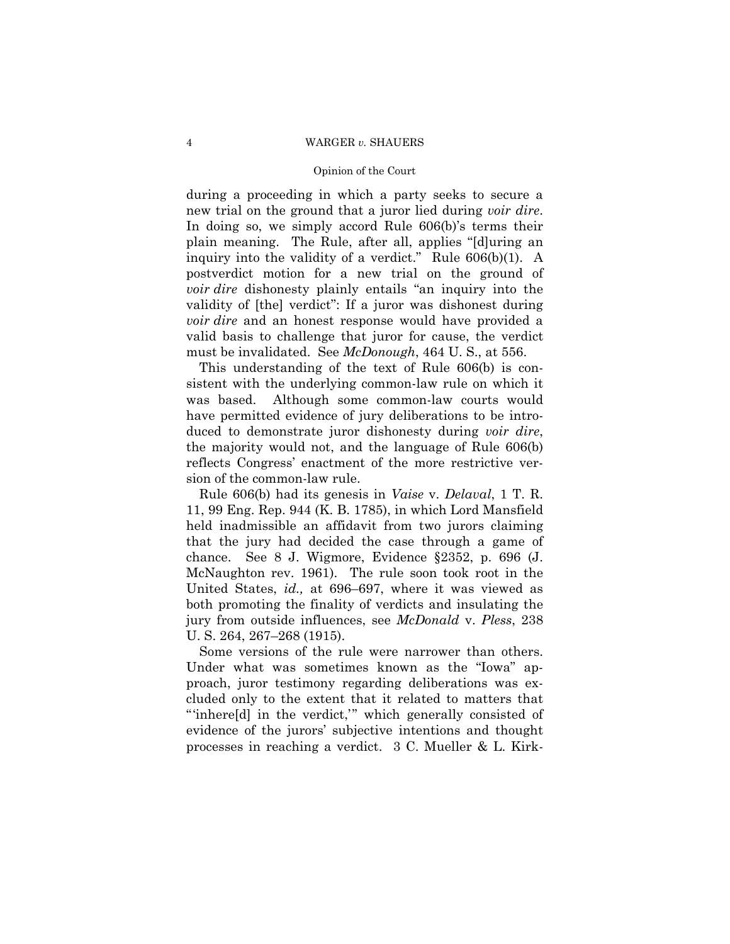#### Opinion of the Court

during a proceeding in which a party seeks to secure a new trial on the ground that a juror lied during *voir dire*. In doing so, we simply accord Rule 606(b)'s terms their plain meaning. The Rule, after all, applies "[d]uring an inquiry into the validity of a verdict." Rule 606(b)(1). A postverdict motion for a new trial on the ground of *voir dire* dishonesty plainly entails "an inquiry into the validity of [the] verdict": If a juror was dishonest during *voir dire* and an honest response would have provided a valid basis to challenge that juror for cause, the verdict must be invalidated. See *McDonough*, 464 U. S., at 556.

This understanding of the text of Rule 606(b) is consistent with the underlying common-law rule on which it was based. Although some common-law courts would have permitted evidence of jury deliberations to be introduced to demonstrate juror dishonesty during *voir dire*, the majority would not, and the language of Rule 606(b) reflects Congress' enactment of the more restrictive version of the common-law rule.

Rule 606(b) had its genesis in *Vaise* v. *Delaval*, 1 T. R. 11, 99 Eng. Rep. 944 (K. B. 1785), in which Lord Mansfield held inadmissible an affidavit from two jurors claiming that the jury had decided the case through a game of chance. See 8 J. Wigmore, Evidence §2352, p. 696 (J. McNaughton rev. 1961). The rule soon took root in the United States, *id.,* at 696–697, where it was viewed as both promoting the finality of verdicts and insulating the jury from outside influences, see *McDonald* v. *Pless*, 238 U. S. 264, 267–268 (1915).

Some versions of the rule were narrower than others. Under what was sometimes known as the "Iowa" approach, juror testimony regarding deliberations was excluded only to the extent that it related to matters that "'inhere[d] in the verdict,'" which generally consisted of evidence of the jurors' subjective intentions and thought processes in reaching a verdict. 3 C. Mueller & L. Kirk-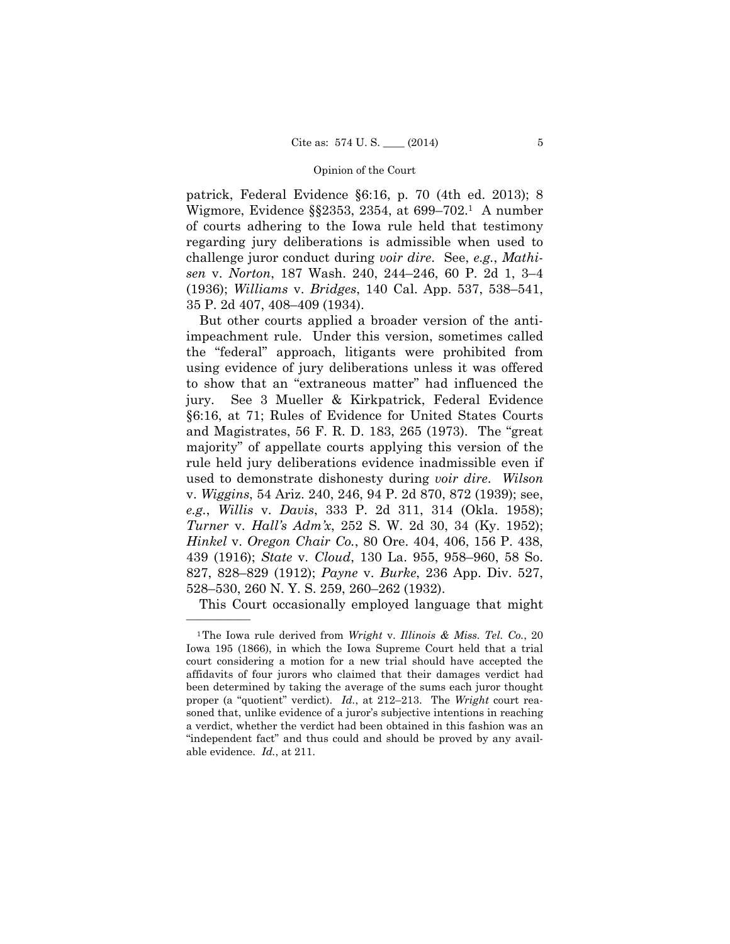patrick, Federal Evidence §6:16, p. 70 (4th ed. 2013); 8 Wigmore, Evidence §§2353, 2354, at 699–702.1 A number of courts adhering to the Iowa rule held that testimony regarding jury deliberations is admissible when used to challenge juror conduct during *voir dire*. See, *e.g.*, *Mathisen* v. *Norton*, 187 Wash. 240, 244–246, 60 P. 2d 1, 3–4 (1936); *Williams* v. *Bridges*, 140 Cal. App. 537, 538–541, 35 P. 2d 407, 408–409 (1934).

But other courts applied a broader version of the antiimpeachment rule. Under this version, sometimes called the "federal" approach, litigants were prohibited from using evidence of jury deliberations unless it was offered to show that an "extraneous matter" had influenced the jury. See 3 Mueller & Kirkpatrick, Federal Evidence §6:16, at 71; Rules of Evidence for United States Courts and Magistrates, 56 F. R. D. 183, 265 (1973). The "great majority" of appellate courts applying this version of the rule held jury deliberations evidence inadmissible even if used to demonstrate dishonesty during *voir dire*. *Wilson*  v. *Wiggins*, 54 Ariz. 240, 246, 94 P. 2d 870, 872 (1939); see, *e.g.*, *Willis* v. *Davis*, 333 P. 2d 311, 314 (Okla. 1958); *Turner* v. *Hall's Adm'x*, 252 S. W. 2d 30, 34 (Ky. 1952); *Hinkel* v. *Oregon Chair Co.*, 80 Ore. 404, 406, 156 P. 438, 439 (1916); *State* v. *Cloud*, 130 La. 955, 958–960, 58 So. 827, 828–829 (1912); *Payne* v. *Burke*, 236 App. Div. 527, 528–530, 260 N. Y. S. 259, 260–262 (1932).

This Court occasionally employed language that might

<sup>1</sup>The Iowa rule derived from *Wright* v. *Illinois & Miss. Tel. Co.*, 20 Iowa 195 (1866), in which the Iowa Supreme Court held that a trial court considering a motion for a new trial should have accepted the affidavits of four jurors who claimed that their damages verdict had been determined by taking the average of the sums each juror thought proper (a "quotient" verdict). *Id.*, at 212–213. The *Wright* court reasoned that, unlike evidence of a juror's subjective intentions in reaching a verdict, whether the verdict had been obtained in this fashion was an "independent fact" and thus could and should be proved by any available evidence. *Id.*, at 211.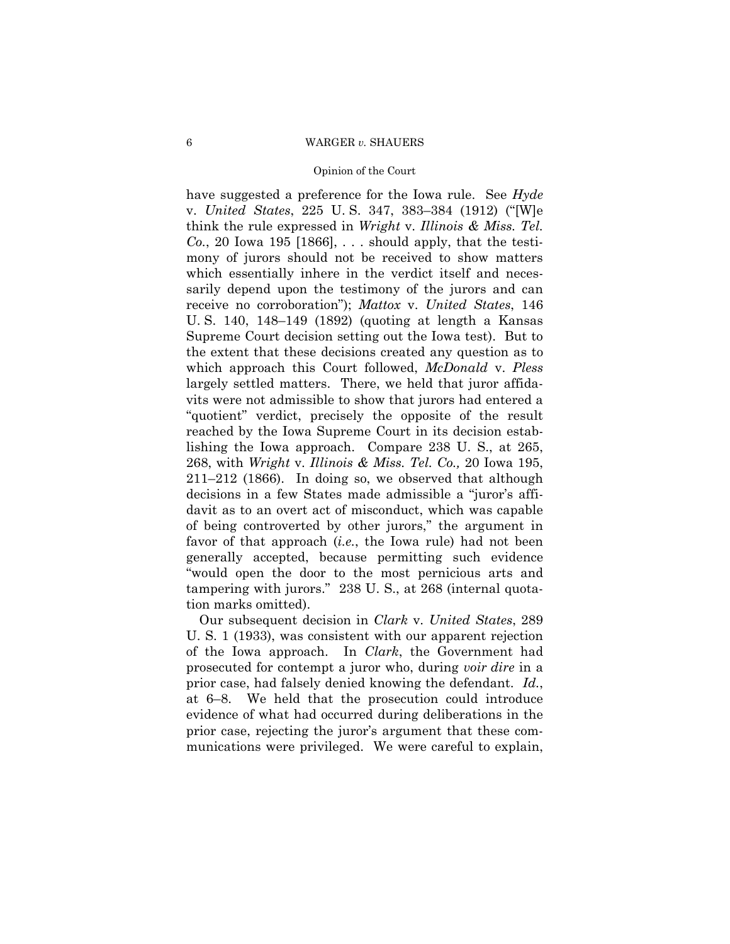#### Opinion of the Court

have suggested a preference for the Iowa rule. See *Hyde*  v. *United States*, 225 U. S. 347, 383–384 (1912) ("[W]e think the rule expressed in *Wright* v. *Illinois & Miss. Tel. Co.*, 20 Iowa 195 [1866], . . . should apply, that the testimony of jurors should not be received to show matters which essentially inhere in the verdict itself and necessarily depend upon the testimony of the jurors and can receive no corroboration"); *Mattox* v. *United States*, 146 U. S. 140, 148–149 (1892) (quoting at length a Kansas Supreme Court decision setting out the Iowa test). But to the extent that these decisions created any question as to which approach this Court followed, *McDonald* v. *Pless*  largely settled matters. There, we held that juror affidavits were not admissible to show that jurors had entered a "quotient" verdict, precisely the opposite of the result reached by the Iowa Supreme Court in its decision establishing the Iowa approach. Compare 238 U. S., at 265, 268, with *Wright* v. *Illinois & Miss. Tel. Co.,* 20 Iowa 195, 211–212 (1866). In doing so, we observed that although decisions in a few States made admissible a "juror's affidavit as to an overt act of misconduct, which was capable of being controverted by other jurors," the argument in favor of that approach (*i.e.*, the Iowa rule) had not been generally accepted, because permitting such evidence "would open the door to the most pernicious arts and tampering with jurors." 238 U. S., at 268 (internal quotation marks omitted).

Our subsequent decision in *Clark* v. *United States*, 289 U. S. 1 (1933), was consistent with our apparent rejection of the Iowa approach. In *Clark*, the Government had prosecuted for contempt a juror who, during *voir dire* in a prior case, had falsely denied knowing the defendant. *Id.*, at 6–8. We held that the prosecution could introduce evidence of what had occurred during deliberations in the prior case, rejecting the juror's argument that these communications were privileged. We were careful to explain,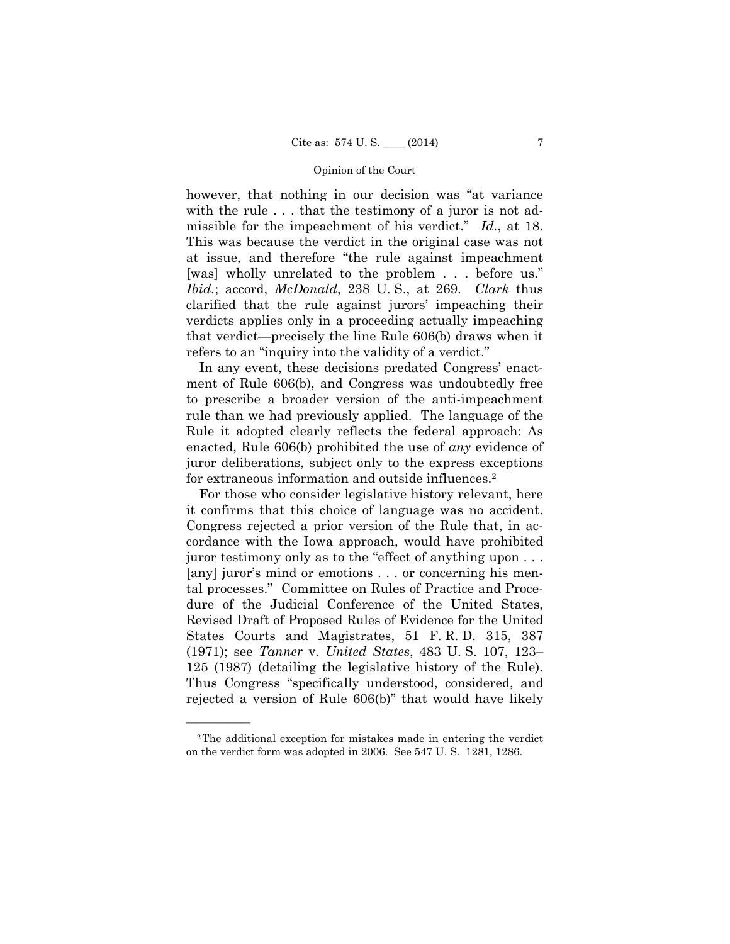*Ibid.*; accord, *McDonald*, 238 U. S., at 269. *Clark* thus however, that nothing in our decision was "at variance with the rule . . . that the testimony of a juror is not admissible for the impeachment of his verdict." *Id.*, at 18. This was because the verdict in the original case was not at issue, and therefore "the rule against impeachment [was] wholly unrelated to the problem . . . before us." clarified that the rule against jurors' impeaching their verdicts applies only in a proceeding actually impeaching that verdict—precisely the line Rule 606(b) draws when it refers to an "inquiry into the validity of a verdict."

In any event, these decisions predated Congress' enactment of Rule 606(b), and Congress was undoubtedly free to prescribe a broader version of the anti-impeachment rule than we had previously applied. The language of the Rule it adopted clearly reflects the federal approach: As enacted, Rule 606(b) prohibited the use of *any* evidence of juror deliberations, subject only to the express exceptions for extraneous information and outside influences.2

For those who consider legislative history relevant, here it confirms that this choice of language was no accident. Congress rejected a prior version of the Rule that, in accordance with the Iowa approach, would have prohibited juror testimony only as to the "effect of anything upon . . . [any] juror's mind or emotions . . . or concerning his mental processes." Committee on Rules of Practice and Procedure of the Judicial Conference of the United States, Revised Draft of Proposed Rules of Evidence for the United States Courts and Magistrates, 51 F. R. D. 315, 387 (1971); see *Tanner* v. *United States*, 483 U. S. 107, 123– 125 (1987) (detailing the legislative history of the Rule). Thus Congress "specifically understood, considered, and rejected a version of Rule 606(b)" that would have likely

<sup>2</sup>The additional exception for mistakes made in entering the verdict on the verdict form was adopted in 2006. See 547 U. S. 1281, 1286.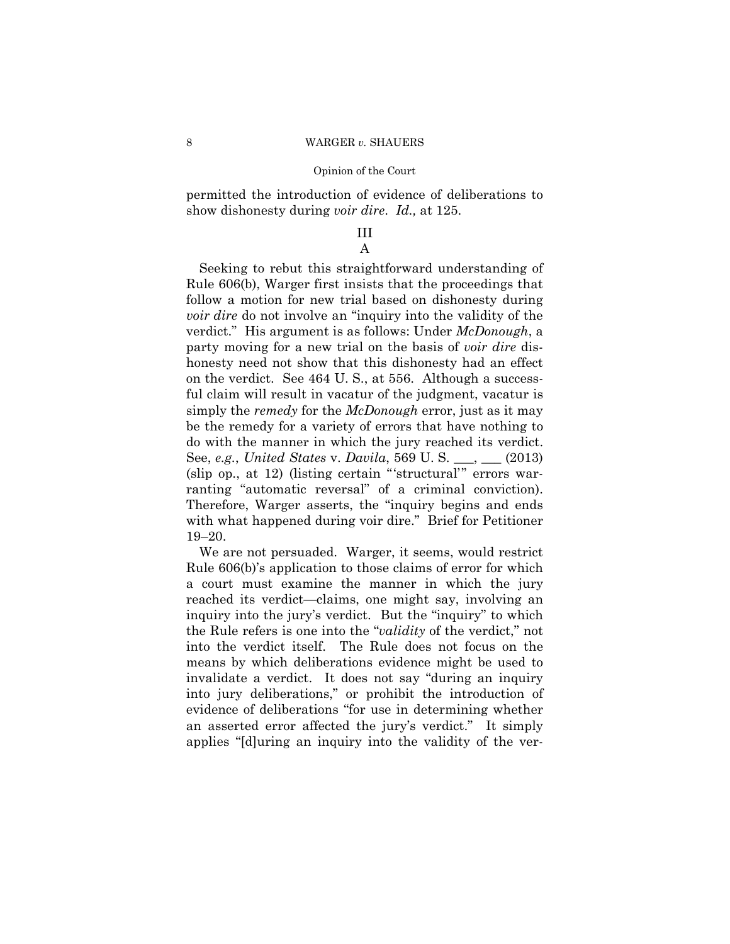show dishonesty during *voir dire*. *Id.,* at 125. permitted the introduction of evidence of deliberations to

### III A

Seeking to rebut this straightforward understanding of Rule 606(b), Warger first insists that the proceedings that follow a motion for new trial based on dishonesty during *voir dire* do not involve an "inquiry into the validity of the verdict." His argument is as follows: Under *McDonough*, a party moving for a new trial on the basis of *voir dire* dishonesty need not show that this dishonesty had an effect on the verdict. See 464 U. S., at 556. Although a successful claim will result in vacatur of the judgment, vacatur is simply the *remedy* for the *McDonough* error, just as it may be the remedy for a variety of errors that have nothing to do with the manner in which the jury reached its verdict. See, *e.g.*, *United States* v. *Davila*, 569 U. S. \_\_\_, \_\_\_ (2013) (slip op., at 12) (listing certain "'structural'" errors warranting "automatic reversal" of a criminal conviction). Therefore, Warger asserts, the "inquiry begins and ends with what happened during voir dire." Brief for Petitioner 19–20.

 invalidate a verdict. It does not say "during an inquiry We are not persuaded. Warger, it seems, would restrict Rule 606(b)'s application to those claims of error for which a court must examine the manner in which the jury reached its verdict—claims, one might say, involving an inquiry into the jury's verdict. But the "inquiry" to which the Rule refers is one into the "*validity* of the verdict," not into the verdict itself. The Rule does not focus on the means by which deliberations evidence might be used to into jury deliberations," or prohibit the introduction of evidence of deliberations "for use in determining whether an asserted error affected the jury's verdict." It simply applies "[d]uring an inquiry into the validity of the ver-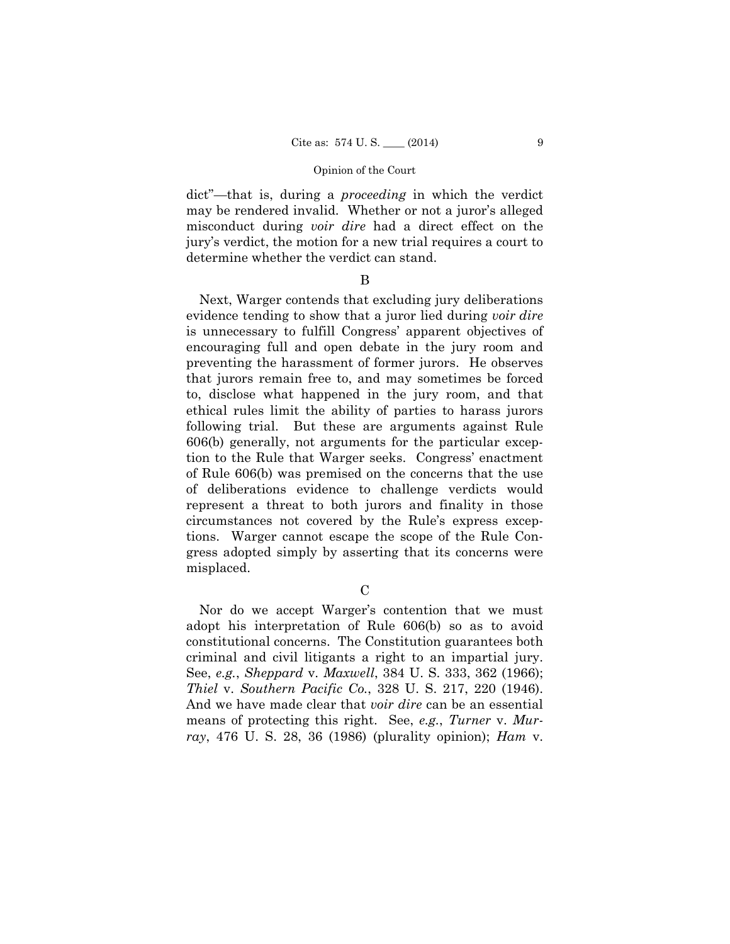dict"—that is, during a *proceeding* in which the verdict may be rendered invalid. Whether or not a juror's alleged misconduct during *voir dire* had a direct effect on the jury's verdict, the motion for a new trial requires a court to determine whether the verdict can stand.

### B

Next, Warger contends that excluding jury deliberations evidence tending to show that a juror lied during *voir dire*  is unnecessary to fulfill Congress' apparent objectives of encouraging full and open debate in the jury room and preventing the harassment of former jurors. He observes that jurors remain free to, and may sometimes be forced to, disclose what happened in the jury room, and that ethical rules limit the ability of parties to harass jurors following trial. But these are arguments against Rule 606(b) generally, not arguments for the particular exception to the Rule that Warger seeks. Congress' enactment of Rule 606(b) was premised on the concerns that the use of deliberations evidence to challenge verdicts would represent a threat to both jurors and finality in those circumstances not covered by the Rule's express exceptions. Warger cannot escape the scope of the Rule Congress adopted simply by asserting that its concerns were misplaced.

 $\overline{C}$ 

Nor do we accept Warger's contention that we must adopt his interpretation of Rule 606(b) so as to avoid constitutional concerns. The Constitution guarantees both criminal and civil litigants a right to an impartial jury. See, *e.g.*, *Sheppard* v. *Maxwell*, 384 U. S. 333, 362 (1966); *Thiel* v. *Southern Pacific Co.*, 328 U. S. 217, 220 (1946). And we have made clear that *voir dire* can be an essential means of protecting this right. See, *e.g.*, *Turner* v. *Murray*, 476 U. S. 28, 36 (1986) (plurality opinion); *Ham* v.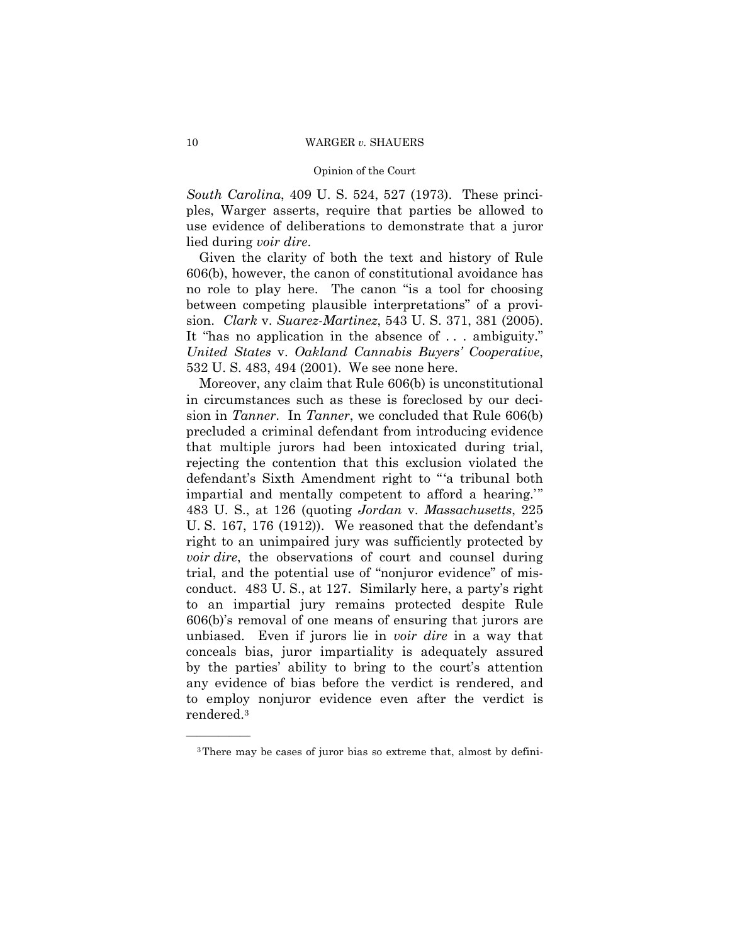#### Opinion of the Court

*South Carolina*, 409 U. S. 524, 527 (1973). These principles, Warger asserts, require that parties be allowed to use evidence of deliberations to demonstrate that a juror lied during *voir dire*.

Given the clarity of both the text and history of Rule 606(b), however, the canon of constitutional avoidance has no role to play here. The canon "is a tool for choosing between competing plausible interpretations" of a provision. *Clark* v. *Suarez-Martinez*, 543 U. S. 371, 381 (2005). It "has no application in the absence of . . . ambiguity." *United States* v. *Oakland Cannabis Buyers' Cooperative*, 532 U. S. 483, 494 (2001). We see none here.

Moreover, any claim that Rule 606(b) is unconstitutional in circumstances such as these is foreclosed by our decision in *Tanner*. In *Tanner*, we concluded that Rule 606(b) precluded a criminal defendant from introducing evidence that multiple jurors had been intoxicated during trial, rejecting the contention that this exclusion violated the defendant's Sixth Amendment right to "'a tribunal both impartial and mentally competent to afford a hearing.'" 483 U. S., at 126 (quoting *Jordan* v. *Massachusetts*, 225 U. S. 167, 176 (1912)). We reasoned that the defendant's right to an unimpaired jury was sufficiently protected by *voir dire*, the observations of court and counsel during trial, and the potential use of "nonjuror evidence" of misconduct. 483 U. S., at 127. Similarly here, a party's right to an impartial jury remains protected despite Rule 606(b)'s removal of one means of ensuring that jurors are unbiased. Even if jurors lie in *voir dire* in a way that conceals bias, juror impartiality is adequately assured by the parties' ability to bring to the court's attention any evidence of bias before the verdict is rendered, and to employ nonjuror evidence even after the verdict is rendered.3

<sup>3</sup>There may be cases of juror bias so extreme that, almost by defini-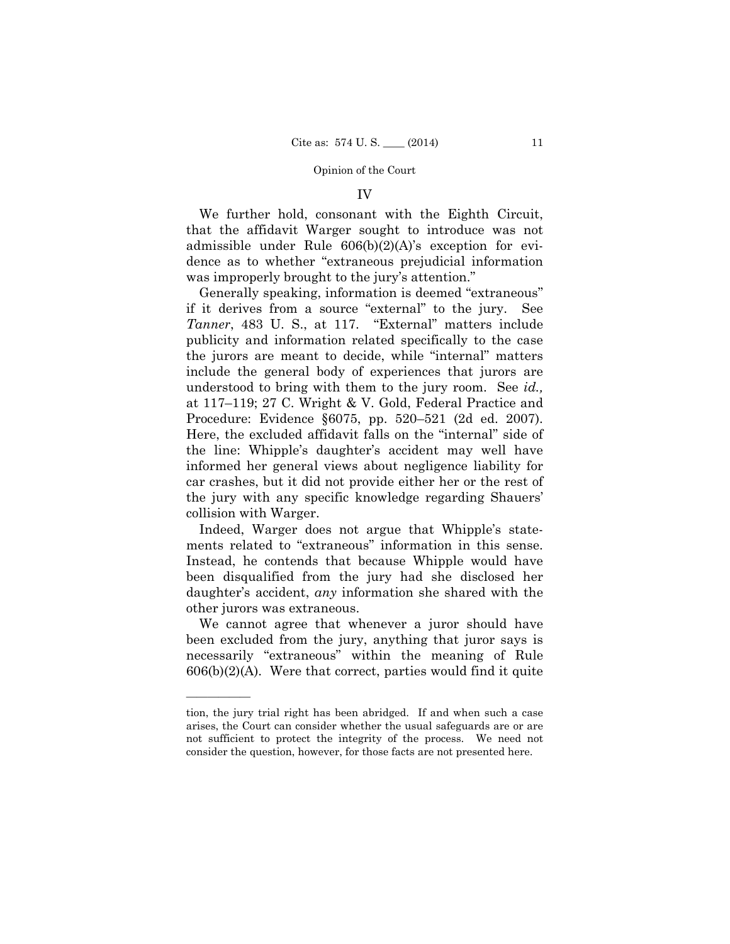#### IV

We further hold, consonant with the Eighth Circuit, that the affidavit Warger sought to introduce was not admissible under Rule 606(b)(2)(A)'s exception for evidence as to whether "extraneous prejudicial information was improperly brought to the jury's attention."

Generally speaking, information is deemed "extraneous" if it derives from a source "external" to the jury. See *Tanner*, 483 U. S., at 117. "External" matters include publicity and information related specifically to the case the jurors are meant to decide, while "internal" matters include the general body of experiences that jurors are understood to bring with them to the jury room. See *id.,*  at 117–119; 27 C. Wright & V. Gold, Federal Practice and Procedure: Evidence §6075, pp. 520–521 (2d ed. 2007). Here, the excluded affidavit falls on the "internal" side of the line: Whipple's daughter's accident may well have informed her general views about negligence liability for car crashes, but it did not provide either her or the rest of the jury with any specific knowledge regarding Shauers' collision with Warger.

Indeed, Warger does not argue that Whipple's statements related to "extraneous" information in this sense. Instead, he contends that because Whipple would have been disqualified from the jury had she disclosed her daughter's accident, *any* information she shared with the other jurors was extraneous.

We cannot agree that whenever a juror should have been excluded from the jury, anything that juror says is necessarily "extraneous" within the meaning of Rule  $606(b)(2)(A)$ . Were that correct, parties would find it quite

tion, the jury trial right has been abridged. If and when such a case arises, the Court can consider whether the usual safeguards are or are not sufficient to protect the integrity of the process. We need not consider the question, however, for those facts are not presented here.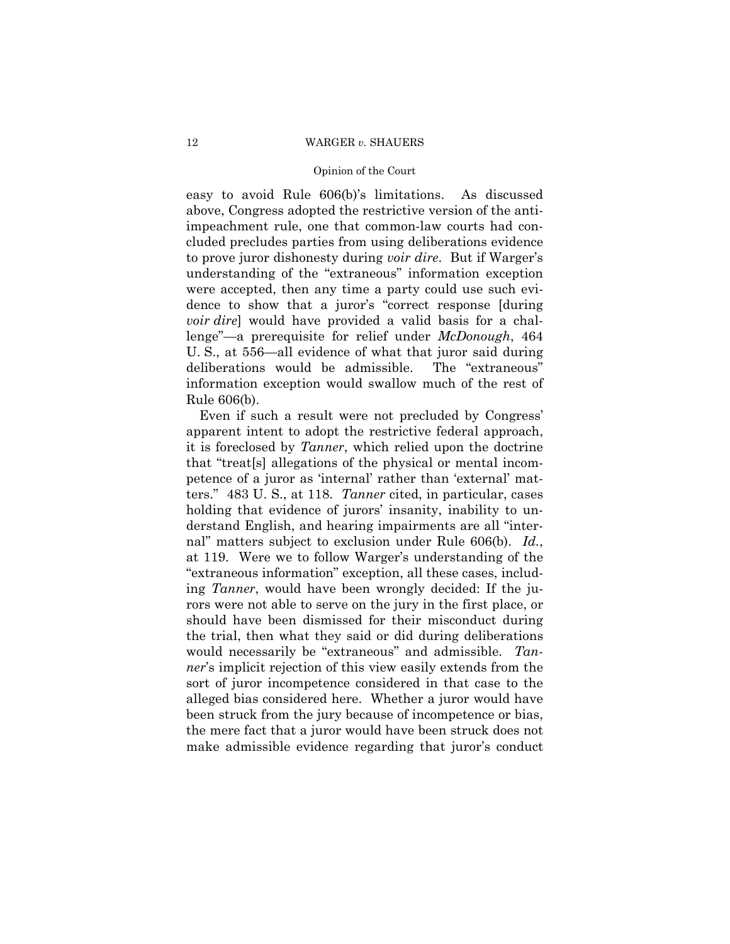#### Opinion of the Court

easy to avoid Rule 606(b)'s limitations. As discussed above, Congress adopted the restrictive version of the antiimpeachment rule, one that common-law courts had concluded precludes parties from using deliberations evidence to prove juror dishonesty during *voir dire*. But if Warger's understanding of the "extraneous" information exception were accepted, then any time a party could use such evidence to show that a juror's "correct response [during *voir dire*] would have provided a valid basis for a challenge"—a prerequisite for relief under *McDonough*, 464 U. S., at 556—all evidence of what that juror said during deliberations would be admissible. The "extraneous" information exception would swallow much of the rest of Rule 606(b).

Even if such a result were not precluded by Congress' apparent intent to adopt the restrictive federal approach, it is foreclosed by *Tanner*, which relied upon the doctrine that "treat[s] allegations of the physical or mental incompetence of a juror as 'internal' rather than 'external' matters." 483 U. S., at 118. *Tanner* cited, in particular, cases holding that evidence of jurors' insanity, inability to understand English, and hearing impairments are all "internal" matters subject to exclusion under Rule 606(b). *Id.*, at 119. Were we to follow Warger's understanding of the "extraneous information" exception, all these cases, including *Tanner*, would have been wrongly decided: If the jurors were not able to serve on the jury in the first place, or should have been dismissed for their misconduct during the trial, then what they said or did during deliberations would necessarily be "extraneous" and admissible. *Tanner*'s implicit rejection of this view easily extends from the sort of juror incompetence considered in that case to the alleged bias considered here. Whether a juror would have been struck from the jury because of incompetence or bias, the mere fact that a juror would have been struck does not make admissible evidence regarding that juror's conduct